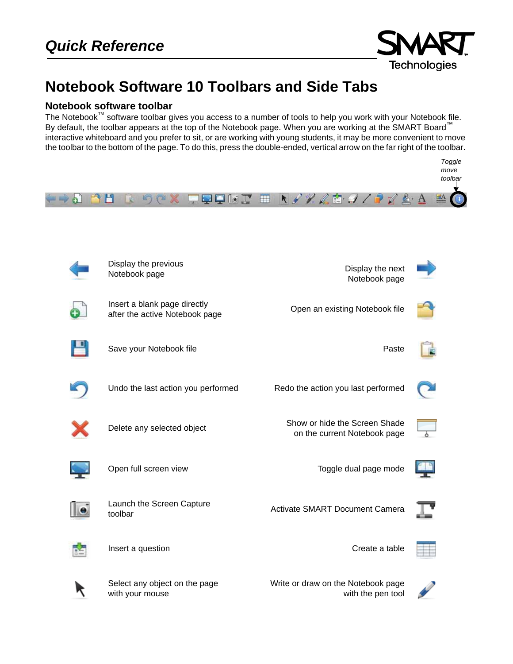

## **Notebook Software 10 Toolbars and Side Tabs**

## **Notebook software toolbar**

The Notebook™ software toolbar gives you access to a number of tools to help you work with your Notebook file. By default, the toolbar appears at the top of the Notebook page. When you are working at the SMART Board™ interactive whiteboard and you prefer to sit, or are working with young students, it may be more convenient to move the toolbar to the bottom of the page. To do this, press the double-ended, vertical arrow on the far right of the toolbar.

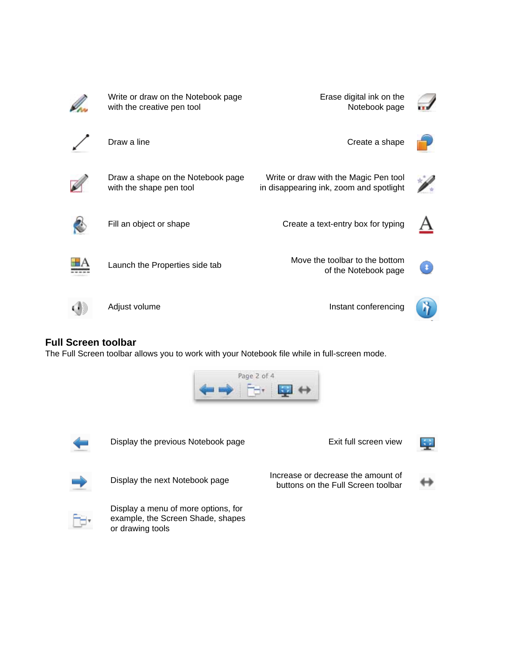

## **Full Screen toolbar**

The Full Screen toolbar allows you to work with your Notebook file while in full-screen mode.

![](_page_1_Picture_3.jpeg)

![](_page_1_Picture_4.jpeg)

Display the previous Notebook page Exit full screen view

![](_page_1_Picture_7.jpeg)

Display the next Notebook page Increase or decrease the amount of buttons on the Full Screen toolbar

![](_page_1_Picture_9.jpeg)

![](_page_1_Picture_10.jpeg)

Display a menu of more options, for example, the Screen Shade, shapes or drawing tools